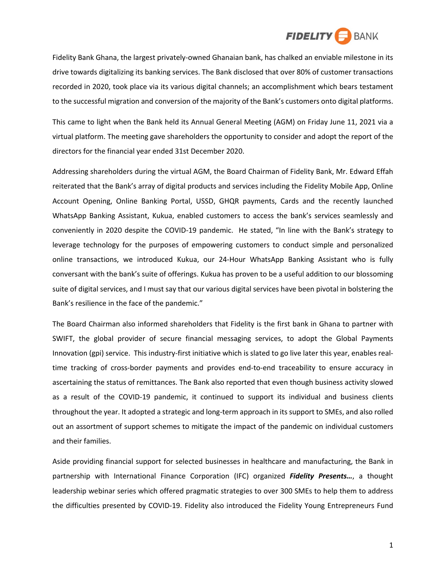

Fidelity Bank Ghana, the largest privately-owned Ghanaian bank, has chalked an enviable milestone in its drive towards digitalizing its banking services. The Bank disclosed that over 80% of customer transactions recorded in 2020, took place via its various digital channels; an accomplishment which bears testament to the successful migration and conversion of the majority of the Bank's customers onto digital platforms.

This came to light when the Bank held its Annual General Meeting (AGM) on Friday June 11, 2021 via a virtual platform. The meeting gave shareholders the opportunity to consider and adopt the report of the directors for the financial year ended 31st December 2020.

Addressing shareholders during the virtual AGM, the Board Chairman of Fidelity Bank, Mr. Edward Effah reiterated that the Bank's array of digital products and services including the Fidelity Mobile App, Online Account Opening, Online Banking Portal, USSD, GHQR payments, Cards and the recently launched WhatsApp Banking Assistant, Kukua, enabled customers to access the bank's services seamlessly and conveniently in 2020 despite the COVID-19 pandemic. He stated, "In line with the Bank's strategy to leverage technology for the purposes of empowering customers to conduct simple and personalized online transactions, we introduced Kukua, our 24-Hour WhatsApp Banking Assistant who is fully conversant with the bank's suite of offerings. Kukua has proven to be a useful addition to our blossoming suite of digital services, and I must say that our various digital services have been pivotal in bolstering the Bank's resilience in the face of the pandemic."

The Board Chairman also informed shareholders that Fidelity is the first bank in Ghana to partner with SWIFT, the global provider of secure financial messaging services, to adopt the Global Payments Innovation (gpi) service. This industry-first initiative which is slated to go live later this year, enables realtime tracking of cross-border payments and provides end-to-end traceability to ensure accuracy in ascertaining the status of remittances. The Bank also reported that even though business activity slowed as a result of the COVID-19 pandemic, it continued to support its individual and business clients throughout the year. It adopted a strategic and long-term approach in its support to SMEs, and also rolled out an assortment of support schemes to mitigate the impact of the pandemic on individual customers and their families.

Aside providing financial support for selected businesses in healthcare and manufacturing, the Bank in partnership with International Finance Corporation (IFC) organized *Fidelity Presents…*, a thought leadership webinar series which offered pragmatic strategies to over 300 SMEs to help them to address the difficulties presented by COVID-19. Fidelity also introduced the Fidelity Young Entrepreneurs Fund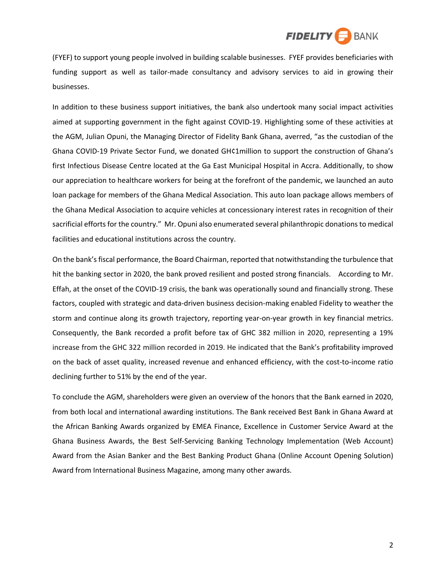

(FYEF) to support young people involved in building scalable businesses. FYEF provides beneficiaries with funding support as well as tailor-made consultancy and advisory services to aid in growing their businesses.

In addition to these business support initiatives, the bank also undertook many social impact activities aimed at supporting government in the fight against COVID-19. Highlighting some of these activities at the AGM, Julian Opuni, the Managing Director of Fidelity Bank Ghana, averred, "as the custodian of the Ghana COVID-19 Private Sector Fund, we donated GH¢1million to support the construction of Ghana's first Infectious Disease Centre located at the Ga East Municipal Hospital in Accra. Additionally, to show our appreciation to healthcare workers for being at the forefront of the pandemic, we launched an auto loan package for members of the Ghana Medical Association. This auto loan package allows members of the Ghana Medical Association to acquire vehicles at concessionary interest rates in recognition of their sacrificial efforts for the country." Mr. Opuni also enumerated several philanthropic donations to medical facilities and educational institutions across the country.

On the bank's fiscal performance, the Board Chairman, reported that notwithstanding the turbulence that hit the banking sector in 2020, the bank proved resilient and posted strong financials. According to Mr. Effah, at the onset of the COVID-19 crisis, the bank was operationally sound and financially strong. These factors, coupled with strategic and data-driven business decision-making enabled Fidelity to weather the storm and continue along its growth trajectory, reporting year-on-year growth in key financial metrics. Consequently, the Bank recorded a profit before tax of GHC 382 million in 2020, representing a 19% increase from the GHC 322 million recorded in 2019. He indicated that the Bank's profitability improved on the back of asset quality, increased revenue and enhanced efficiency, with the cost-to-income ratio declining further to 51% by the end of the year.

To conclude the AGM, shareholders were given an overview of the honors that the Bank earned in 2020, from both local and international awarding institutions. The Bank received Best Bank in Ghana Award at the African Banking Awards organized by EMEA Finance, Excellence in Customer Service Award at the Ghana Business Awards, the Best Self-Servicing Banking Technology Implementation (Web Account) Award from the Asian Banker and the Best Banking Product Ghana (Online Account Opening Solution) Award from International Business Magazine, among many other awards.